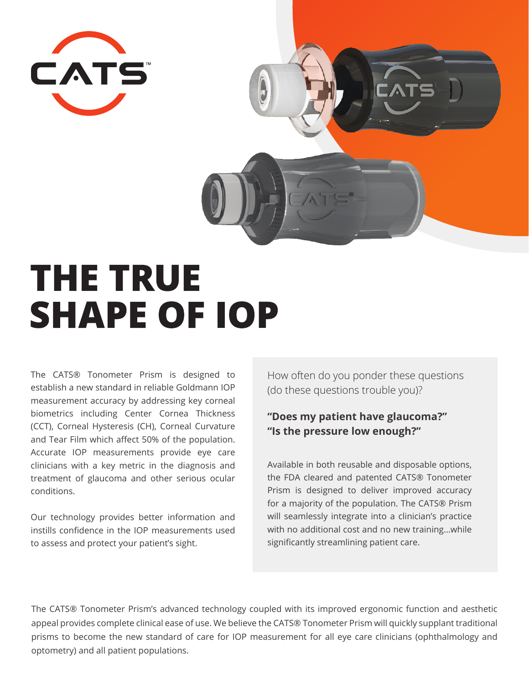

# **THE TRUE SHAPE OF IOP**

The CATS® Tonometer Prism is designed to establish a new standard in reliable Goldmann IOP measurement accuracy by addressing key corneal biometrics including Center Cornea Thickness (CCT), Corneal Hysteresis (CH), Corneal Curvature and Tear Film which affect 50% of the population. Accurate IOP measurements provide eye care clinicians with a key metric in the diagnosis and treatment of glaucoma and other serious ocular conditions.

Our technology provides better information and instills confidence in the IOP measurements used to assess and protect your patient's sight.

How often do you ponder these questions (do these questions trouble you)?

### **"Does my patient have glaucoma?" "Is the pressure low enough?"**

Available in both reusable and disposable options, the FDA cleared and patented CATS® Tonometer Prism is designed to deliver improved accuracy for a majority of the population. The CATS® Prism will seamlessly integrate into a clinician's practice with no additional cost and no new training…while significantly streamlining patient care.

The CATS® Tonometer Prism's advanced technology coupled with its improved ergonomic function and aesthetic appeal provides complete clinical ease of use. We believe the CATS® Tonometer Prism will quickly supplant traditional prisms to become the new standard of care for IOP measurement for all eye care clinicians (ophthalmology and optometry) and all patient populations.